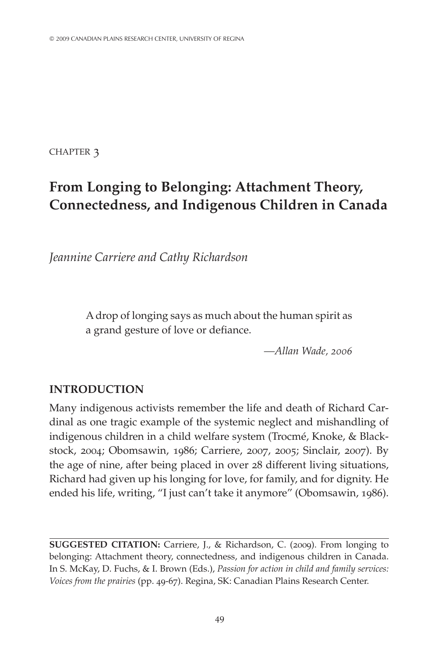CHAPTER 3

# **From Longing to Belonging: Attachment Theory, Connectedness, and Indigenous Children in Canada**

*Jeannine Carriere and Cathy Richardson*

A drop of longing says as much about the human spirit as a grand gesture of love or defiance.

*—Allan Wade, 2006*

# **Introduction**

Many indigenous activists remember the life and death of Richard Cardinal as one tragic example of the systemic neglect and mishandling of indigenous children in a child welfare system (Trocmé, Knoke, & Blackstock, 2004; Obomsawin, 1986; Carriere, 2007, 2005; Sinclair, 2007). By the age of nine, after being placed in over 28 different living situations, Richard had given up his longing for love, for family, and for dignity. He ended his life, writing, "I just can't take it anymore" (Obomsawin, 1986).

**Suggested citation:** Carriere, J., & Richardson, C. (2009). From longing to belonging: Attachment theory, connectedness, and indigenous children in Canada. In S. McKay, D. Fuchs, & I. Brown (Eds.), *Passion for action in child and family services: Voices from the prairies* (pp. 49-67). Regina, SK: Canadian Plains Research Center.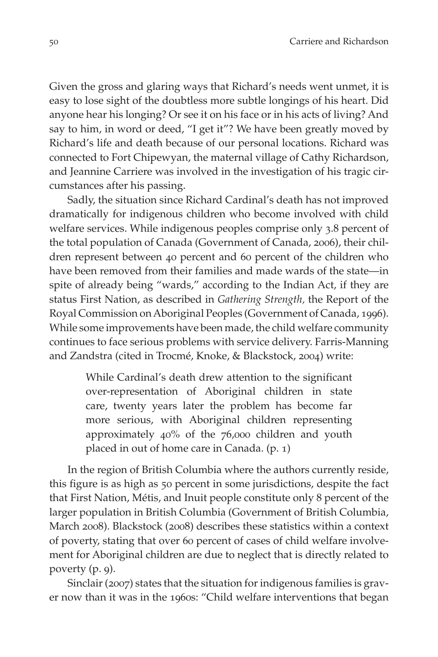Given the gross and glaring ways that Richard's needs went unmet, it is easy to lose sight of the doubtless more subtle longings of his heart. Did anyone hear his longing? Or see it on his face or in his acts of living? And say to him, in word or deed, "I get it"? We have been greatly moved by Richard's life and death because of our personal locations. Richard was connected to Fort Chipewyan, the maternal village of Cathy Richardson, and Jeannine Carriere was involved in the investigation of his tragic circumstances after his passing.

Sadly, the situation since Richard Cardinal's death has not improved dramatically for indigenous children who become involved with child welfare services. While indigenous peoples comprise only 3.8 percent of the total population of Canada (Government of Canada, 2006), their children represent between 40 percent and 60 percent of the children who have been removed from their families and made wards of the state—in spite of already being "wards," according to the Indian Act, if they are status First Nation, as described in *Gathering Strength,* the Report of the Royal Commission on Aboriginal Peoples (Government of Canada, 1996). While some improvements have been made, the child welfare community continues to face serious problems with service delivery. Farris-Manning and Zandstra (cited in Trocmé, Knoke, & Blackstock, 2004) write:

> While Cardinal's death drew attention to the significant over-representation of Aboriginal children in state care, twenty years later the problem has become far more serious, with Aboriginal children representing approximately 40% of the 76,000 children and youth placed in out of home care in Canada. (p. 1)

In the region of British Columbia where the authors currently reside, this figure is as high as 50 percent in some jurisdictions, despite the fact that First Nation, Métis, and Inuit people constitute only 8 percent of the larger population in British Columbia (Government of British Columbia, March 2008). Blackstock (2008) describes these statistics within a context of poverty, stating that over 60 percent of cases of child welfare involvement for Aboriginal children are due to neglect that is directly related to poverty (p. 9).

Sinclair (2007) states that the situation for indigenous families is graver now than it was in the 1960s: "Child welfare interventions that began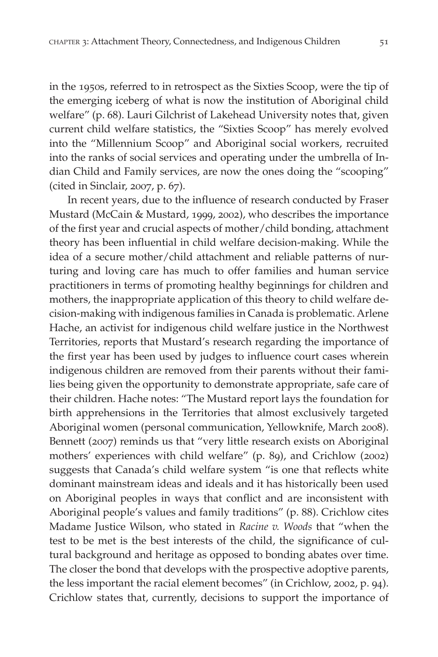in the 1950s, referred to in retrospect as the Sixties Scoop, were the tip of the emerging iceberg of what is now the institution of Aboriginal child welfare" (p. 68). Lauri Gilchrist of Lakehead University notes that, given current child welfare statistics, the "Sixties Scoop" has merely evolved into the "Millennium Scoop" and Aboriginal social workers, recruited into the ranks of social services and operating under the umbrella of Indian Child and Family services, are now the ones doing the "scooping" (cited in Sinclair, 2007, p. 67).

In recent years, due to the influence of research conducted by Fraser Mustard (McCain & Mustard, 1999, 2002), who describes the importance of the first year and crucial aspects of mother/child bonding, attachment theory has been influential in child welfare decision-making. While the idea of a secure mother/child attachment and reliable patterns of nurturing and loving care has much to offer families and human service practitioners in terms of promoting healthy beginnings for children and mothers, the inappropriate application of this theory to child welfare decision-making with indigenous families in Canada is problematic. Arlene Hache, an activist for indigenous child welfare justice in the Northwest Territories, reports that Mustard's research regarding the importance of the first year has been used by judges to influence court cases wherein indigenous children are removed from their parents without their families being given the opportunity to demonstrate appropriate, safe care of their children. Hache notes: "The Mustard report lays the foundation for birth apprehensions in the Territories that almost exclusively targeted Aboriginal women (personal communication, Yellowknife, March 2008). Bennett (2007) reminds us that "very little research exists on Aboriginal mothers' experiences with child welfare" (p. 89), and Crichlow (2002) suggests that Canada's child welfare system "is one that reflects white dominant mainstream ideas and ideals and it has historically been used on Aboriginal peoples in ways that conflict and are inconsistent with Aboriginal people's values and family traditions" (p. 88). Crichlow cites Madame Justice Wilson, who stated in *Racine v. Woods* that "when the test to be met is the best interests of the child, the significance of cultural background and heritage as opposed to bonding abates over time. The closer the bond that develops with the prospective adoptive parents, the less important the racial element becomes" (in Crichlow, 2002, p. 94). Crichlow states that, currently, decisions to support the importance of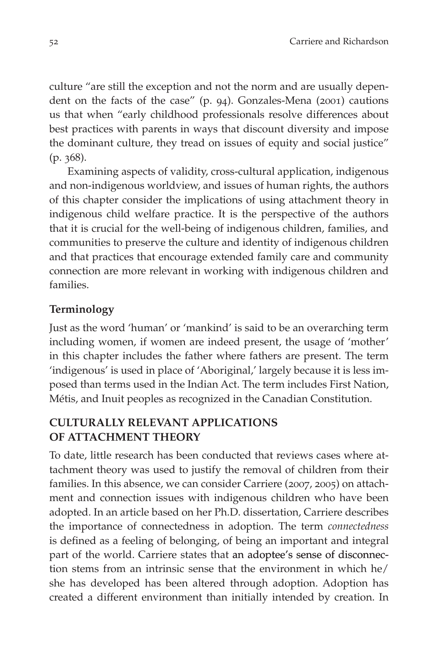culture "are still the exception and not the norm and are usually dependent on the facts of the case" (p. 94). Gonzales-Mena (2001) cautions us that when "early childhood professionals resolve differences about best practices with parents in ways that discount diversity and impose the dominant culture, they tread on issues of equity and social justice" (p. 368).

Examining aspects of validity, cross-cultural application, indigenous and non-indigenous worldview, and issues of human rights, the authors of this chapter consider the implications of using attachment theory in indigenous child welfare practice. It is the perspective of the authors that it is crucial for the well-being of indigenous children, families, and communities to preserve the culture and identity of indigenous children and that practices that encourage extended family care and community connection are more relevant in working with indigenous children and families.

## **Terminology**

Just as the word 'human' or 'mankind' is said to be an overarching term including women, if women are indeed present, the usage of 'mother' in this chapter includes the father where fathers are present. The term 'indigenous' is used in place of 'Aboriginal,' largely because it is less imposed than terms used in the Indian Act. The term includes First Nation, Métis, and Inuit peoples as recognized in the Canadian Constitution.

## **CULTURALLY RELEVANT APPLICATIONS OF ATTACHMENT THEORY**

To date, little research has been conducted that reviews cases where attachment theory was used to justify the removal of children from their families. In this absence, we can consider Carriere (2007, 2005) on attachment and connection issues with indigenous children who have been adopted. In an article based on her Ph.D. dissertation, Carriere describes the importance of connectedness in adoption. The term *connectedness* is defined as a feeling of belonging, of being an important and integral part of the world. Carriere states that an adoptee's sense of disconnection stems from an intrinsic sense that the environment in which he/ she has developed has been altered through adoption. Adoption has created a different environment than initially intended by creation. In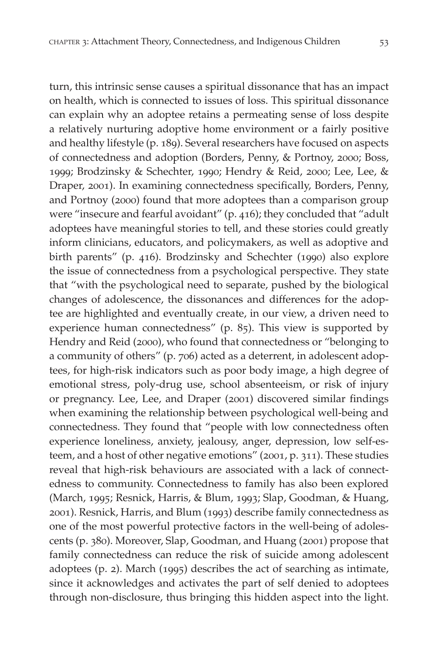turn, this intrinsic sense causes a spiritual dissonance that has an impact on health, which is connected to issues of loss. This spiritual dissonance can explain why an adoptee retains a permeating sense of loss despite a relatively nurturing adoptive home environment or a fairly positive and healthy lifestyle (p. 189). Several researchers have focused on aspects of connectedness and adoption (Borders, Penny, & Portnoy, 2000; Boss, 1999; Brodzinsky & Schechter, 1990; Hendry & Reid, 2000; Lee, Lee, & Draper, 2001). In examining connectedness specifically, Borders, Penny, and Portnoy (2000) found that more adoptees than a comparison group were "insecure and fearful avoidant" (p. 416); they concluded that "adult adoptees have meaningful stories to tell, and these stories could greatly inform clinicians, educators, and policymakers, as well as adoptive and birth parents" (p. 416). Brodzinsky and Schechter (1990) also explore the issue of connectedness from a psychological perspective. They state that "with the psychological need to separate, pushed by the biological changes of adolescence, the dissonances and differences for the adoptee are highlighted and eventually create, in our view, a driven need to experience human connectedness" (p. 85). This view is supported by Hendry and Reid (2000), who found that connectedness or "belonging to a community of others" (p. 706) acted as a deterrent, in adolescent adoptees, for high-risk indicators such as poor body image, a high degree of emotional stress, poly-drug use, school absenteeism, or risk of injury or pregnancy. Lee, Lee, and Draper (2001) discovered similar findings when examining the relationship between psychological well-being and connectedness. They found that "people with low connectedness often experience loneliness, anxiety, jealousy, anger, depression, low self-esteem, and a host of other negative emotions" (2001, p. 311). These studies reveal that high-risk behaviours are associated with a lack of connectedness to community. Connectedness to family has also been explored (March, 1995; Resnick, Harris, & Blum, 1993; Slap, Goodman, & Huang, 2001). Resnick, Harris, and Blum (1993) describe family connectedness as one of the most powerful protective factors in the well-being of adolescents (p. 380). Moreover, Slap, Goodman, and Huang (2001) propose that family connectedness can reduce the risk of suicide among adolescent adoptees (p. 2). March (1995) describes the act of searching as intimate, since it acknowledges and activates the part of self denied to adoptees through non-disclosure, thus bringing this hidden aspect into the light.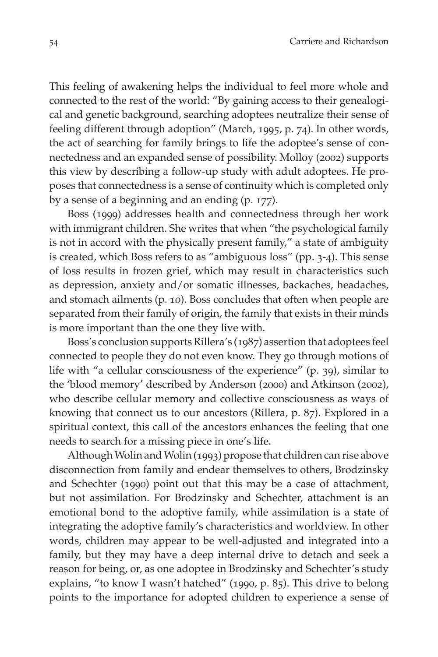This feeling of awakening helps the individual to feel more whole and connected to the rest of the world: "By gaining access to their genealogical and genetic background, searching adoptees neutralize their sense of feeling different through adoption" (March, 1995, p. 74). In other words, the act of searching for family brings to life the adoptee's sense of connectedness and an expanded sense of possibility. Molloy (2002) supports this view by describing a follow-up study with adult adoptees. He proposes that connectedness is a sense of continuity which is completed only by a sense of a beginning and an ending (p. 177).

Boss (1999) addresses health and connectedness through her work with immigrant children. She writes that when "the psychological family is not in accord with the physically present family," a state of ambiguity is created, which Boss refers to as "ambiguous loss" (pp. 3-4). This sense of loss results in frozen grief, which may result in characteristics such as depression, anxiety and/or somatic illnesses, backaches, headaches, and stomach ailments (p. 10). Boss concludes that often when people are separated from their family of origin, the family that exists in their minds is more important than the one they live with.

Boss's conclusion supports Rillera's (1987) assertion that adoptees feel connected to people they do not even know. They go through motions of life with "a cellular consciousness of the experience" (p. 39), similar to the 'blood memory' described by Anderson (2000) and Atkinson (2002), who describe cellular memory and collective consciousness as ways of knowing that connect us to our ancestors (Rillera, p. 87). Explored in a spiritual context, this call of the ancestors enhances the feeling that one needs to search for a missing piece in one's life.

Although Wolin and Wolin (1993) propose that children can rise above disconnection from family and endear themselves to others, Brodzinsky and Schechter (1990) point out that this may be a case of attachment, but not assimilation. For Brodzinsky and Schechter, attachment is an emotional bond to the adoptive family, while assimilation is a state of integrating the adoptive family's characteristics and worldview. In other words, children may appear to be well-adjusted and integrated into a family, but they may have a deep internal drive to detach and seek a reason for being, or, as one adoptee in Brodzinsky and Schechter's study explains, "to know I wasn't hatched" (1990, p. 85). This drive to belong points to the importance for adopted children to experience a sense of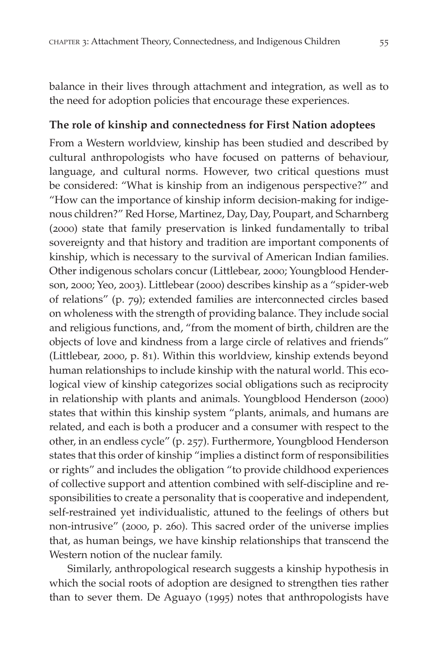balance in their lives through attachment and integration, as well as to the need for adoption policies that encourage these experiences.

## **The role of kinship and connectedness for First Nation adoptees**

From a Western worldview, kinship has been studied and described by cultural anthropologists who have focused on patterns of behaviour, language, and cultural norms. However, two critical questions must be considered: "What is kinship from an indigenous perspective?" and "How can the importance of kinship inform decision-making for indigenous children?" Red Horse, Martinez, Day, Day, Poupart, and Scharnberg (2000) state that family preservation is linked fundamentally to tribal sovereignty and that history and tradition are important components of kinship, which is necessary to the survival of American Indian families. Other indigenous scholars concur (Littlebear, 2000; Youngblood Henderson, 2000; Yeo, 2003). Littlebear (2000) describes kinship as a "spider-web of relations" (p. 79); extended families are interconnected circles based on wholeness with the strength of providing balance. They include social and religious functions, and, "from the moment of birth, children are the objects of love and kindness from a large circle of relatives and friends" (Littlebear, 2000, p. 81). Within this worldview, kinship extends beyond human relationships to include kinship with the natural world. This ecological view of kinship categorizes social obligations such as reciprocity in relationship with plants and animals. Youngblood Henderson (2000) states that within this kinship system "plants, animals, and humans are related, and each is both a producer and a consumer with respect to the other, in an endless cycle" (p. 257). Furthermore, Youngblood Henderson states that this order of kinship "implies a distinct form of responsibilities or rights" and includes the obligation "to provide childhood experiences of collective support and attention combined with self-discipline and responsibilities to create a personality that is cooperative and independent, self-restrained yet individualistic, attuned to the feelings of others but non-intrusive" (2000, p. 260). This sacred order of the universe implies that, as human beings, we have kinship relationships that transcend the Western notion of the nuclear family.

Similarly, anthropological research suggests a kinship hypothesis in which the social roots of adoption are designed to strengthen ties rather than to sever them. De Aguayo (1995) notes that anthropologists have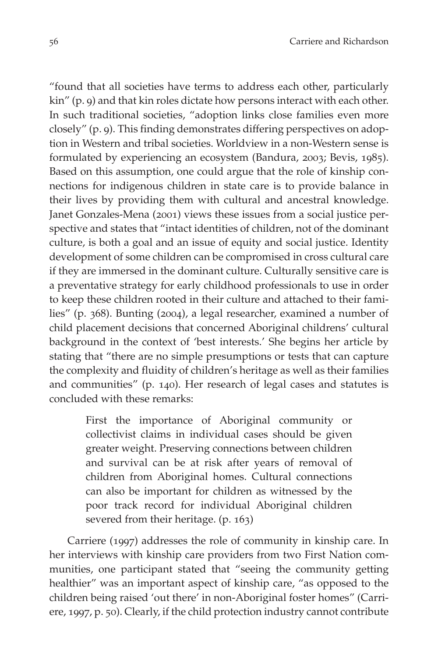"found that all societies have terms to address each other, particularly kin" (p. 9) and that kin roles dictate how persons interact with each other. In such traditional societies, "adoption links close families even more closely" (p. 9). This finding demonstrates differing perspectives on adoption in Western and tribal societies. Worldview in a non-Western sense is formulated by experiencing an ecosystem (Bandura, 2003; Bevis, 1985). Based on this assumption, one could argue that the role of kinship connections for indigenous children in state care is to provide balance in their lives by providing them with cultural and ancestral knowledge. Janet Gonzales-Mena (2001) views these issues from a social justice perspective and states that "intact identities of children, not of the dominant culture, is both a goal and an issue of equity and social justice. Identity development of some children can be compromised in cross cultural care if they are immersed in the dominant culture. Culturally sensitive care is a preventative strategy for early childhood professionals to use in order to keep these children rooted in their culture and attached to their families" (p. 368). Bunting (2004), a legal researcher, examined a number of child placement decisions that concerned Aboriginal childrens' cultural background in the context of 'best interests.' She begins her article by stating that "there are no simple presumptions or tests that can capture the complexity and fluidity of children's heritage as well as their families and communities" (p. 140). Her research of legal cases and statutes is concluded with these remarks:

> First the importance of Aboriginal community or collectivist claims in individual cases should be given greater weight. Preserving connections between children and survival can be at risk after years of removal of children from Aboriginal homes. Cultural connections can also be important for children as witnessed by the poor track record for individual Aboriginal children severed from their heritage. (p. 163)

Carriere (1997) addresses the role of community in kinship care. In her interviews with kinship care providers from two First Nation communities, one participant stated that "seeing the community getting healthier" was an important aspect of kinship care, "as opposed to the children being raised 'out there' in non-Aboriginal foster homes" (Carriere, 1997, p. 50). Clearly, if the child protection industry cannot contribute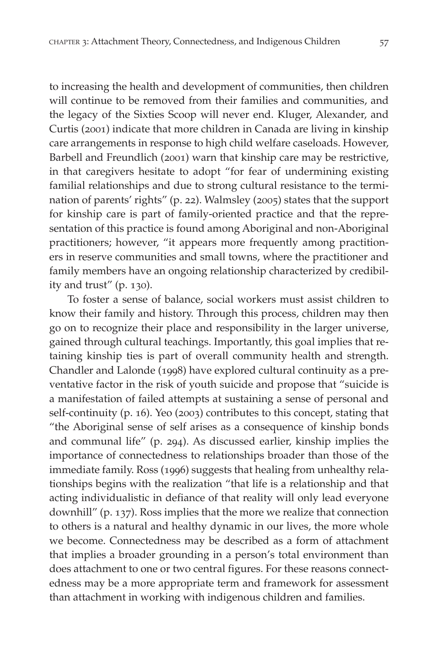to increasing the health and development of communities, then children will continue to be removed from their families and communities, and the legacy of the Sixties Scoop will never end. Kluger, Alexander, and Curtis (2001) indicate that more children in Canada are living in kinship care arrangements in response to high child welfare caseloads. However, Barbell and Freundlich (2001) warn that kinship care may be restrictive, in that caregivers hesitate to adopt "for fear of undermining existing familial relationships and due to strong cultural resistance to the termination of parents' rights" (p. 22). Walmsley (2005) states that the support for kinship care is part of family-oriented practice and that the representation of this practice is found among Aboriginal and non-Aboriginal practitioners; however, "it appears more frequently among practitioners in reserve communities and small towns, where the practitioner and family members have an ongoing relationship characterized by credibility and trust" (p. 130).

To foster a sense of balance, social workers must assist children to know their family and history. Through this process, children may then go on to recognize their place and responsibility in the larger universe, gained through cultural teachings. Importantly, this goal implies that retaining kinship ties is part of overall community health and strength. Chandler and Lalonde (1998) have explored cultural continuity as a preventative factor in the risk of youth suicide and propose that "suicide is a manifestation of failed attempts at sustaining a sense of personal and self-continuity (p. 16). Yeo (2003) contributes to this concept, stating that "the Aboriginal sense of self arises as a consequence of kinship bonds and communal life" (p. 294). As discussed earlier, kinship implies the importance of connectedness to relationships broader than those of the immediate family. Ross (1996) suggests that healing from unhealthy relationships begins with the realization "that life is a relationship and that acting individualistic in defiance of that reality will only lead everyone downhill" (p. 137). Ross implies that the more we realize that connection to others is a natural and healthy dynamic in our lives, the more whole we become. Connectedness may be described as a form of attachment that implies a broader grounding in a person's total environment than does attachment to one or two central figures. For these reasons connectedness may be a more appropriate term and framework for assessment than attachment in working with indigenous children and families.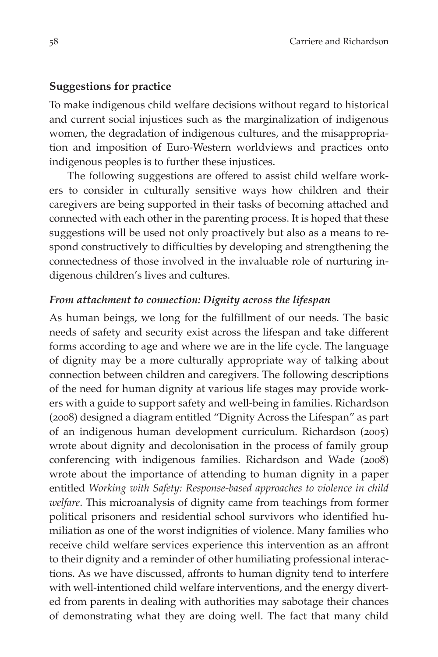#### **Suggestions for practice**

To make indigenous child welfare decisions without regard to historical and current social injustices such as the marginalization of indigenous women, the degradation of indigenous cultures, and the misappropriation and imposition of Euro-Western worldviews and practices onto indigenous peoples is to further these injustices.

The following suggestions are offered to assist child welfare workers to consider in culturally sensitive ways how children and their caregivers are being supported in their tasks of becoming attached and connected with each other in the parenting process. It is hoped that these suggestions will be used not only proactively but also as a means to respond constructively to difficulties by developing and strengthening the connectedness of those involved in the invaluable role of nurturing indigenous children's lives and cultures.

#### *From attachment to connection: Dignity across the lifespan*

As human beings, we long for the fulfillment of our needs. The basic needs of safety and security exist across the lifespan and take different forms according to age and where we are in the life cycle. The language of dignity may be a more culturally appropriate way of talking about connection between children and caregivers. The following descriptions of the need for human dignity at various life stages may provide workers with a guide to support safety and well-being in families. Richardson (2008) designed a diagram entitled "Dignity Across the Lifespan" as part of an indigenous human development curriculum. Richardson (2005) wrote about dignity and decolonisation in the process of family group conferencing with indigenous families. Richardson and Wade (2008) wrote about the importance of attending to human dignity in a paper entitled *Working with Safety: Response-based approaches to violence in child welfare*. This microanalysis of dignity came from teachings from former political prisoners and residential school survivors who identified humiliation as one of the worst indignities of violence. Many families who receive child welfare services experience this intervention as an affront to their dignity and a reminder of other humiliating professional interactions. As we have discussed, affronts to human dignity tend to interfere with well-intentioned child welfare interventions, and the energy diverted from parents in dealing with authorities may sabotage their chances of demonstrating what they are doing well. The fact that many child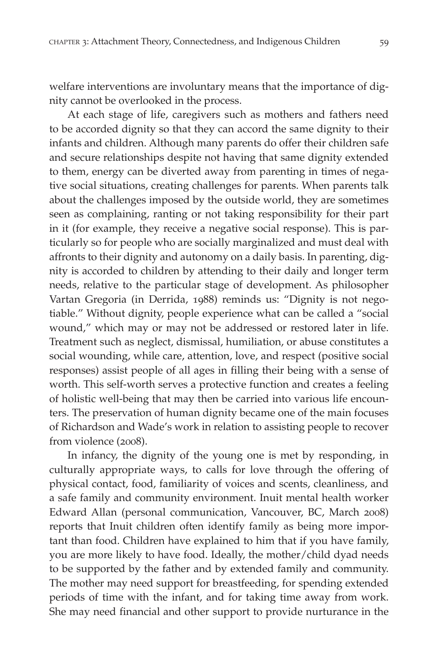welfare interventions are involuntary means that the importance of dignity cannot be overlooked in the process.

At each stage of life, caregivers such as mothers and fathers need to be accorded dignity so that they can accord the same dignity to their infants and children. Although many parents do offer their children safe and secure relationships despite not having that same dignity extended to them, energy can be diverted away from parenting in times of negative social situations, creating challenges for parents. When parents talk about the challenges imposed by the outside world, they are sometimes seen as complaining, ranting or not taking responsibility for their part in it (for example, they receive a negative social response). This is particularly so for people who are socially marginalized and must deal with affronts to their dignity and autonomy on a daily basis. In parenting, dignity is accorded to children by attending to their daily and longer term needs, relative to the particular stage of development. As philosopher Vartan Gregoria (in Derrida, 1988) reminds us: "Dignity is not negotiable." Without dignity, people experience what can be called a "social wound," which may or may not be addressed or restored later in life. Treatment such as neglect, dismissal, humiliation, or abuse constitutes a social wounding, while care, attention, love, and respect (positive social responses) assist people of all ages in filling their being with a sense of worth. This self-worth serves a protective function and creates a feeling of holistic well-being that may then be carried into various life encounters. The preservation of human dignity became one of the main focuses of Richardson and Wade's work in relation to assisting people to recover from violence (2008).

In infancy, the dignity of the young one is met by responding, in culturally appropriate ways, to calls for love through the offering of physical contact, food, familiarity of voices and scents, cleanliness, and a safe family and community environment. Inuit mental health worker Edward Allan (personal communication, Vancouver, BC, March 2008) reports that Inuit children often identify family as being more important than food. Children have explained to him that if you have family, you are more likely to have food. Ideally, the mother/child dyad needs to be supported by the father and by extended family and community. The mother may need support for breastfeeding, for spending extended periods of time with the infant, and for taking time away from work. She may need financial and other support to provide nurturance in the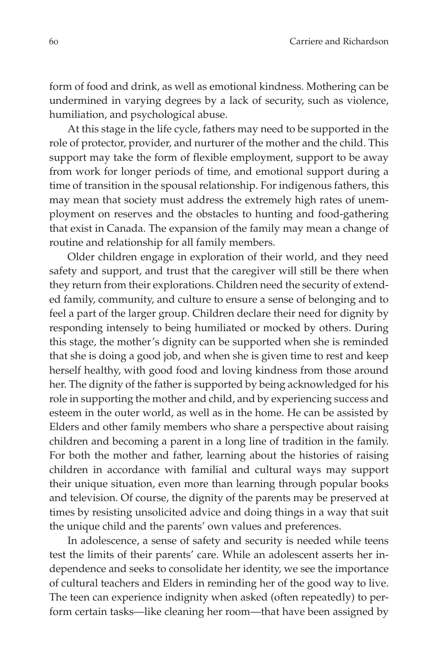form of food and drink, as well as emotional kindness. Mothering can be undermined in varying degrees by a lack of security, such as violence, humiliation, and psychological abuse.

At this stage in the life cycle, fathers may need to be supported in the role of protector, provider, and nurturer of the mother and the child. This support may take the form of flexible employment, support to be away from work for longer periods of time, and emotional support during a time of transition in the spousal relationship. For indigenous fathers, this may mean that society must address the extremely high rates of unemployment on reserves and the obstacles to hunting and food-gathering that exist in Canada. The expansion of the family may mean a change of routine and relationship for all family members.

Older children engage in exploration of their world, and they need safety and support, and trust that the caregiver will still be there when they return from their explorations. Children need the security of extended family, community, and culture to ensure a sense of belonging and to feel a part of the larger group. Children declare their need for dignity by responding intensely to being humiliated or mocked by others. During this stage, the mother's dignity can be supported when she is reminded that she is doing a good job, and when she is given time to rest and keep herself healthy, with good food and loving kindness from those around her. The dignity of the father is supported by being acknowledged for his role in supporting the mother and child, and by experiencing success and esteem in the outer world, as well as in the home. He can be assisted by Elders and other family members who share a perspective about raising children and becoming a parent in a long line of tradition in the family. For both the mother and father, learning about the histories of raising children in accordance with familial and cultural ways may support their unique situation, even more than learning through popular books and television. Of course, the dignity of the parents may be preserved at times by resisting unsolicited advice and doing things in a way that suit the unique child and the parents' own values and preferences.

In adolescence, a sense of safety and security is needed while teens test the limits of their parents' care. While an adolescent asserts her independence and seeks to consolidate her identity, we see the importance of cultural teachers and Elders in reminding her of the good way to live. The teen can experience indignity when asked (often repeatedly) to perform certain tasks—like cleaning her room—that have been assigned by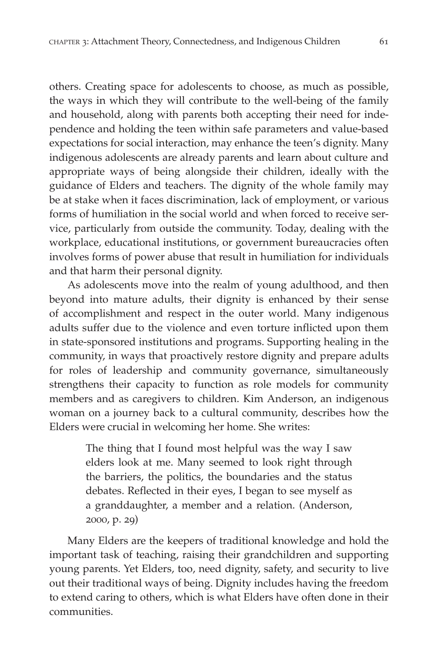others. Creating space for adolescents to choose, as much as possible, the ways in which they will contribute to the well-being of the family and household, along with parents both accepting their need for independence and holding the teen within safe parameters and value-based expectations for social interaction, may enhance the teen's dignity. Many indigenous adolescents are already parents and learn about culture and appropriate ways of being alongside their children, ideally with the guidance of Elders and teachers. The dignity of the whole family may be at stake when it faces discrimination, lack of employment, or various forms of humiliation in the social world and when forced to receive service, particularly from outside the community. Today, dealing with the workplace, educational institutions, or government bureaucracies often involves forms of power abuse that result in humiliation for individuals and that harm their personal dignity.

As adolescents move into the realm of young adulthood, and then beyond into mature adults, their dignity is enhanced by their sense of accomplishment and respect in the outer world. Many indigenous adults suffer due to the violence and even torture inflicted upon them in state-sponsored institutions and programs. Supporting healing in the community, in ways that proactively restore dignity and prepare adults for roles of leadership and community governance, simultaneously strengthens their capacity to function as role models for community members and as caregivers to children. Kim Anderson, an indigenous woman on a journey back to a cultural community, describes how the Elders were crucial in welcoming her home. She writes:

> The thing that I found most helpful was the way I saw elders look at me. Many seemed to look right through the barriers, the politics, the boundaries and the status debates. Reflected in their eyes, I began to see myself as a granddaughter, a member and a relation. (Anderson, 2000, p. 29)

Many Elders are the keepers of traditional knowledge and hold the important task of teaching, raising their grandchildren and supporting young parents. Yet Elders, too, need dignity, safety, and security to live out their traditional ways of being. Dignity includes having the freedom to extend caring to others, which is what Elders have often done in their communities.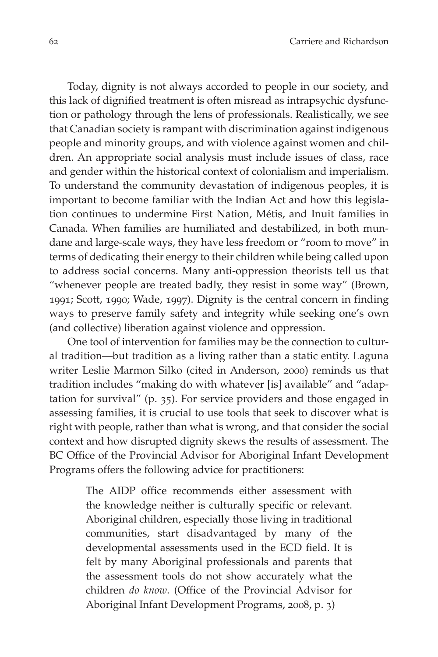Today, dignity is not always accorded to people in our society, and this lack of dignified treatment is often misread as intrapsychic dysfunction or pathology through the lens of professionals. Realistically, we see that Canadian society is rampant with discrimination against indigenous people and minority groups, and with violence against women and children. An appropriate social analysis must include issues of class, race and gender within the historical context of colonialism and imperialism. To understand the community devastation of indigenous peoples, it is important to become familiar with the Indian Act and how this legislation continues to undermine First Nation, Métis, and Inuit families in Canada. When families are humiliated and destabilized, in both mundane and large-scale ways, they have less freedom or "room to move" in terms of dedicating their energy to their children while being called upon to address social concerns. Many anti-oppression theorists tell us that "whenever people are treated badly, they resist in some way" (Brown, 1991; Scott, 1990; Wade, 1997). Dignity is the central concern in finding ways to preserve family safety and integrity while seeking one's own (and collective) liberation against violence and oppression.

One tool of intervention for families may be the connection to cultural tradition—but tradition as a living rather than a static entity. Laguna writer Leslie Marmon Silko (cited in Anderson, 2000) reminds us that tradition includes "making do with whatever [is] available" and "adaptation for survival" (p. 35). For service providers and those engaged in assessing families, it is crucial to use tools that seek to discover what is right with people, rather than what is wrong, and that consider the social context and how disrupted dignity skews the results of assessment. The BC Office of the Provincial Advisor for Aboriginal Infant Development Programs offers the following advice for practitioners:

> The AIDP office recommends either assessment with the knowledge neither is culturally specific or relevant. Aboriginal children, especially those living in traditional communities, start disadvantaged by many of the developmental assessments used in the ECD field. It is felt by many Aboriginal professionals and parents that the assessment tools do not show accurately what the children *do know*. (Office of the Provincial Advisor for Aboriginal Infant Development Programs, 2008, p. 3)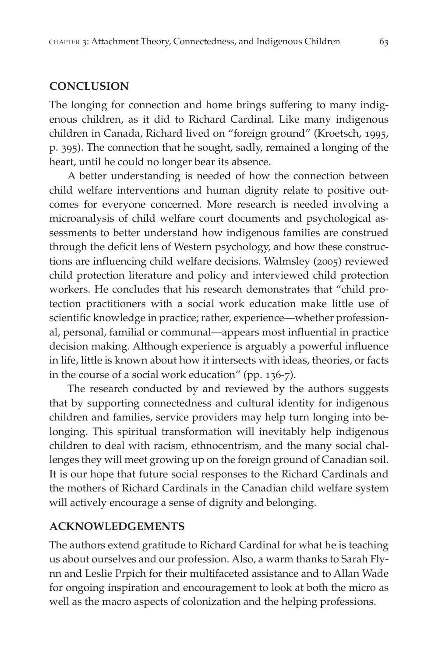### **Conclusion**

The longing for connection and home brings suffering to many indigenous children, as it did to Richard Cardinal. Like many indigenous children in Canada, Richard lived on "foreign ground" (Kroetsch, 1995, p. 395). The connection that he sought, sadly, remained a longing of the heart, until he could no longer bear its absence.

A better understanding is needed of how the connection between child welfare interventions and human dignity relate to positive outcomes for everyone concerned. More research is needed involving a microanalysis of child welfare court documents and psychological assessments to better understand how indigenous families are construed through the deficit lens of Western psychology, and how these constructions are influencing child welfare decisions. Walmsley (2005) reviewed child protection literature and policy and interviewed child protection workers. He concludes that his research demonstrates that "child protection practitioners with a social work education make little use of scientific knowledge in practice; rather, experience—whether professional, personal, familial or communal—appears most influential in practice decision making. Although experience is arguably a powerful influence in life, little is known about how it intersects with ideas, theories, or facts in the course of a social work education" (pp. 136-7).

The research conducted by and reviewed by the authors suggests that by supporting connectedness and cultural identity for indigenous children and families, service providers may help turn longing into belonging. This spiritual transformation will inevitably help indigenous children to deal with racism, ethnocentrism, and the many social challenges they will meet growing up on the foreign ground of Canadian soil. It is our hope that future social responses to the Richard Cardinals and the mothers of Richard Cardinals in the Canadian child welfare system will actively encourage a sense of dignity and belonging.

#### **Acknowledgements**

The authors extend gratitude to Richard Cardinal for what he is teaching us about ourselves and our profession. Also, a warm thanks to Sarah Flynn and Leslie Prpich for their multifaceted assistance and to Allan Wade for ongoing inspiration and encouragement to look at both the micro as well as the macro aspects of colonization and the helping professions.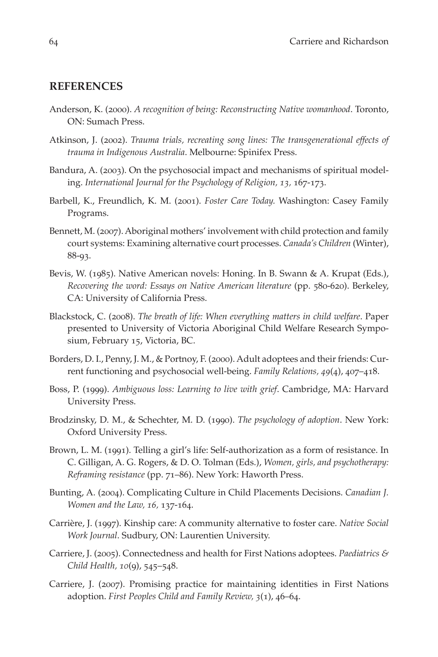#### **References**

- Anderson, K. (2000). *A recognition of being: Reconstructing Native womanhood*. Toronto, ON: Sumach Press.
- Atkinson, J. (2002). *Trauma trials, recreating song lines: The transgenerational effects of trauma in Indigenous Australia*. Melbourne: Spinifex Press.
- Bandura, A. (2003). On the psychosocial impact and mechanisms of spiritual modeling. *International Journal for the Psychology of Religion, 13,* 167-173.
- Barbell, K., Freundlich, K. M. (2001). *Foster Care Today.* Washington: Casey Family Programs.
- Bennett, M. (2007). Aboriginal mothers' involvement with child protection and family court systems: Examining alternative court processes. *Canada's Children* (Winter), 88-93.
- Bevis, W. (1985). Native American novels: Honing. In B. Swann & A. Krupat (Eds.), *Recovering the word: Essays on Native American literature* (pp. 580-620). Berkeley, CA: University of California Press.
- Blackstock, C. (2008). *The breath of life: When everything matters in child welfare*. Paper presented to University of Victoria Aboriginal Child Welfare Research Symposium, February 15, Victoria, BC.
- Borders, D. I., Penny, J. M., & Portnoy, F. (2000). Adult adoptees and their friends: Current functioning and psychosocial well-being. *Family Relations, 49*(4), 407–418.
- Boss, P. (1999). *Ambiguous loss: Learning to live with grief*. Cambridge, MA: Harvard University Press.
- Brodzinsky, D. M., & Schechter, M. D. (1990). *The psychology of adoption*. New York: Oxford University Press.
- Brown, L. M. (1991). Telling a girl's life: Self-authorization as a form of resistance. In C. Gilligan, A. G. Rogers, & D. O. Tolman (Eds.), *Women, girls, and psychotherapy: Reframing resistance* (pp. 71–86). New York: Haworth Press.
- Bunting, A. (2004). Complicating Culture in Child Placements Decisions. *Canadian J. Women and the Law, 16,* 137-164.
- Carrière, J. (1997). Kinship care: A community alternative to foster care. *Native Social Work Journal*. Sudbury, ON: Laurentien University.
- Carriere, J. (2005). Connectedness and health for First Nations adoptees. *Paediatrics & Child Health, 10*(9), 545–548.
- Carriere, J. (2007). Promising practice for maintaining identities in First Nations adoption. *First Peoples Child and Family Review, 3*(1), 46–64.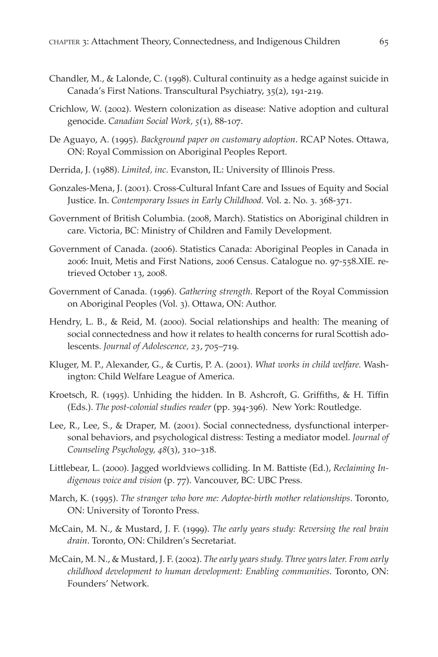- Chandler, M., & Lalonde, C. (1998). Cultural continuity as a hedge against suicide in Canada's First Nations. Transcultural Psychiatry, 35(2), 191-219.
- Crichlow, W. (2002). Western colonization as disease: Native adoption and cultural genocide. *Canadian Social Work, 5*(1), 88-107.
- De Aguayo, A. (1995). *Background paper on customary adoption*. RCAP Notes. Ottawa, ON: Royal Commission on Aboriginal Peoples Report.
- Derrida, J. (1988). *Limited, inc*. Evanston, IL: University of Illinois Press.
- Gonzales-Mena, J. (2001). Cross-Cultural Infant Care and Issues of Equity and Social Justice. In. *Contemporary Issues in Early Childhood.* Vol. 2. No. 3. 368-371.
- Government of British Columbia. (2008, March). Statistics on Aboriginal children in care. Victoria, BC: Ministry of Children and Family Development.
- Government of Canada. (2006). Statistics Canada: Aboriginal Peoples in Canada in 2006: Inuit, Metis and First Nations, 2006 Census. Catalogue no. 97-558.XIE. retrieved October 13, 2008.
- Government of Canada. (1996). *Gathering strength*. Report of the Royal Commission on Aboriginal Peoples (Vol. 3). Ottawa, ON: Author.
- Hendry, L. B., & Reid, M. (2000). Social relationships and health: The meaning of social connectedness and how it relates to health concerns for rural Scottish adolescents. *Journal of Adolescence, 23*, 705–719.
- Kluger, M. P., Alexander, G., & Curtis, P. A. (2001). *What works in child welfare.* Washington: Child Welfare League of America.
- Kroetsch, R. (1995). Unhiding the hidden. In B. Ashcroft, G. Griffiths, & H. Tiffin (Eds.). *The post-colonial studies reader* (pp. 394-396). New York: Routledge.
- Lee, R., Lee, S., & Draper, M. (2001). Social connectedness, dysfunctional interpersonal behaviors, and psychological distress: Testing a mediator model. *Journal of Counseling Psychology, 48*(3), 310–318.
- Littlebear, L. (2000). Jagged worldviews colliding. In M. Battiste (Ed.), *Reclaiming Indigenous voice and vision* (p. 77). Vancouver, BC: UBC Press.
- March, K. (1995). *The stranger who bore me: Adoptee-birth mother relationships*. Toronto, ON: University of Toronto Press.
- McCain, M. N., & Mustard, J. F. (1999). *The early years study: Reversing the real brain drain*. Toronto, ON: Children's Secretariat.
- McCain, M. N., & Mustard, J. F. (2002). *The early years study. Three years later. From early childhood development to human development: Enabling communities*. Toronto, ON: Founders' Network.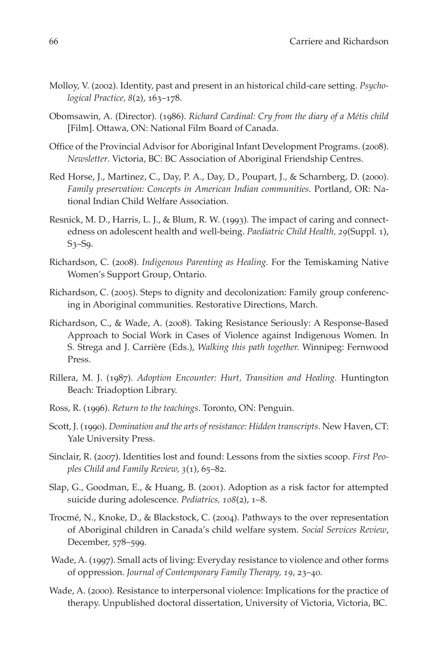- Molloy, V. (2002). Identity, past and present in an historical child-care setting. *Psychological Practice, 8*(2), 163–178.
- Obomsawin, A. (Director). (1986). *Richard Cardinal: Cry from the diary of a Métis child* [Film]. Ottawa, ON: National Film Board of Canada.
- Office of the Provincial Advisor for Aboriginal Infant Development Programs. (2008). *Newsletter*. Victoria, BC: BC Association of Aboriginal Friendship Centres.
- Red Horse, J., Martinez, C., Day, P. A., Day, D., Poupart, J., & Scharnberg, D. (2000). *Family preservation: Concepts in American Indian communities*. Portland, OR: National Indian Child Welfare Association.
- Resnick, M. D., Harris, L. J., & Blum, R. W. (1993). The impact of caring and connectedness on adolescent health and well-being. *Paediatric Child Health, 29*(Suppl. 1), S3–S9.
- Richardson, C. (2008). *Indigenous Parenting as Healing.* For the Temiskaming Native Women's Support Group, Ontario.
- Richardson, C. (2005). Steps to dignity and decolonization: Family group conferencing in Aboriginal communities. Restorative Directions, March.
- Richardson, C., & Wade, A. (2008). Taking Resistance Seriously: A Response-Based Approach to Social Work in Cases of Violence against Indigenous Women. In S. Strega and J. Carrière (Eds.), *Walking this path together.* Winnipeg: Fernwood Press.
- Rillera, M. J. (1987). *Adoption Encounter: Hurt, Transition and Healing.* Huntington Beach: Triadoption Library.
- Ross, R. (1996). *Return to the teachings*. Toronto, ON: Penguin.
- Scott, J. (1990). *Domination and the arts of resistance: Hidden transcripts*. New Haven, CT: Yale University Press.
- Sinclair, R. (2007). Identities lost and found: Lessons from the sixties scoop. *First Peoples Child and Family Review, 3*(1), 65–82.
- Slap, G., Goodman, E., & Huang, B. (2001). Adoption as a risk factor for attempted suicide during adolescence. *Pediatrics, 108*(2), 1–8.
- Trocmé, N., Knoke, D., & Blackstock, C. (2004). Pathways to the over representation of Aboriginal children in Canada's child welfare system. *Social Services Review*, December, 578–599.
- Wade, A. (1997). Small acts of living: Everyday resistance to violence and other forms of oppression. *Journal of Contemporary Family Therapy, 19*, 23–40.
- Wade, A. (2000). Resistance to interpersonal violence: Implications for the practice of therapy. Unpublished doctoral dissertation, University of Victoria, Victoria, BC.